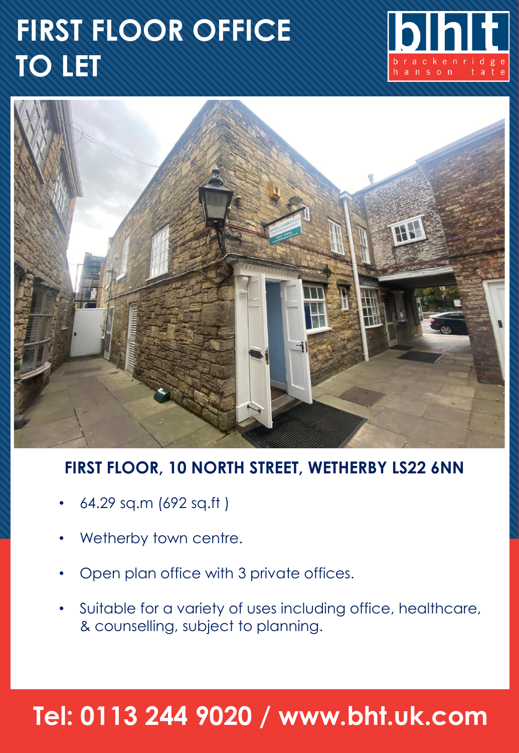# **FIRST FLOOR OFFICE TO LET**





### **FIRST FLOOR, 10 NORTH STREET, WETHERBY LS22 6NN**

- 64.29 sq.m (692 sq.ft )
- Wetherby town centre.
- Open plan office with 3 private offices.
- Suitable for a variety of uses including office, healthcare, & counselling, subject to planning.

## **Tel: 0113 244 9020 / www.bht.uk.com**